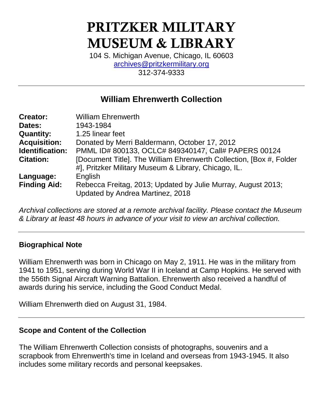# **PRITZKER MILITARY MUSEUM & LIBRARY**

104 S. Michigan Avenue, Chicago, IL 60603 [archives@pritzkermilitary.org](mailto:archives@pritzkermilitary.org) 312-374-9333

# **William Ehrenwerth Collection**

| <b>Creator:</b>     | <b>William Ehrenwerth</b>                                            |
|---------------------|----------------------------------------------------------------------|
| Dates:              | 1943-1984                                                            |
| <b>Quantity:</b>    | 1.25 linear feet                                                     |
| <b>Acquisition:</b> | Donated by Merri Baldermann, October 17, 2012                        |
| Identification:     | PMML ID# 800133, OCLC# 849340147, Call# PAPERS 00124                 |
| <b>Citation:</b>    | [Document Title]. The William Ehrenwerth Collection, [Box #, Folder] |
|                     | #], Pritzker Military Museum & Library, Chicago, IL.                 |
| Language:           | English                                                              |
| <b>Finding Aid:</b> | Rebecca Freitag, 2013; Updated by Julie Murray, August 2013;         |
|                     | Updated by Andrea Martinez, 2018                                     |

*Archival collections are stored at a remote archival facility. Please contact the Museum & Library at least 48 hours in advance of your visit to view an archival collection.*

#### **Biographical Note**

William Ehrenwerth was born in Chicago on May 2, 1911. He was in the military from 1941 to 1951, serving during World War II in Iceland at Camp Hopkins. He served with the 556th Signal Aircraft Warning Battalion. Ehrenwerth also received a handful of awards during his service, including the Good Conduct Medal.

William Ehrenwerth died on August 31, 1984.

#### **Scope and Content of the Collection**

The William Ehrenwerth Collection consists of photographs, souvenirs and a scrapbook from Ehrenwerth's time in Iceland and overseas from 1943-1945. It also includes some military records and personal keepsakes.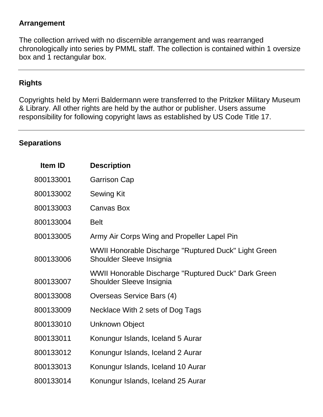#### **Arrangement**

The collection arrived with no discernible arrangement and was rearranged chronologically into series by PMML staff. The collection is contained within 1 oversize box and 1 rectangular box.

#### **Rights**

Copyrights held by Merri Baldermann were transferred to the Pritzker Military Museum & Library. All other rights are held by the author or publisher. Users assume responsibility for following copyright laws as established by US Code Title 17.

#### **Separations**

| Item ID   | <b>Description</b>                                                               |
|-----------|----------------------------------------------------------------------------------|
| 800133001 | <b>Garrison Cap</b>                                                              |
| 800133002 | <b>Sewing Kit</b>                                                                |
| 800133003 | <b>Canvas Box</b>                                                                |
| 800133004 | <b>Belt</b>                                                                      |
| 800133005 | Army Air Corps Wing and Propeller Lapel Pin                                      |
| 800133006 | WWII Honorable Discharge "Ruptured Duck" Light Green<br>Shoulder Sleeve Insignia |
| 800133007 | WWII Honorable Discharge "Ruptured Duck" Dark Green<br>Shoulder Sleeve Insignia  |
| 800133008 | Overseas Service Bars (4)                                                        |
| 800133009 | Necklace With 2 sets of Dog Tags                                                 |
| 800133010 | <b>Unknown Object</b>                                                            |
| 800133011 | Konungur Islands, Iceland 5 Aurar                                                |
| 800133012 | Konungur Islands, Iceland 2 Aurar                                                |
| 800133013 | Konungur Islands, Iceland 10 Aurar                                               |
| 800133014 | Konungur Islands, Iceland 25 Aurar                                               |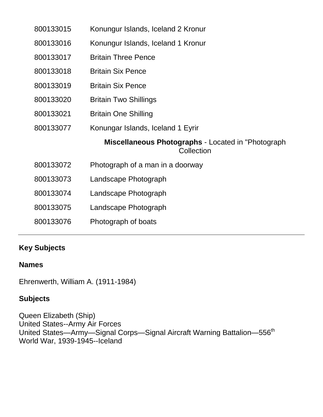| 800133015 | Konungur Islands, Iceland 2 Kronur                                      |
|-----------|-------------------------------------------------------------------------|
| 800133016 | Konungur Islands, Iceland 1 Kronur                                      |
| 800133017 | <b>Britain Three Pence</b>                                              |
| 800133018 | <b>Britain Six Pence</b>                                                |
| 800133019 | <b>Britain Six Pence</b>                                                |
| 800133020 | <b>Britain Two Shillings</b>                                            |
| 800133021 | <b>Britain One Shilling</b>                                             |
| 800133077 | Konungar Islands, Iceland 1 Eyrir                                       |
|           |                                                                         |
|           | <b>Miscellaneous Photographs - Located in "Photograph</b><br>Collection |
| 800133072 | Photograph of a man in a doorway                                        |
| 800133073 | Landscape Photograph                                                    |
| 800133074 | Landscape Photograph                                                    |
| 800133075 | Landscape Photograph                                                    |
| 800133076 | Photograph of boats                                                     |

## **Key Subjects**

### **Names**

Ehrenwerth, William A. (1911-1984)

## **Subjects**

Queen Elizabeth (Ship) United States--Army Air Forces United States—Army—Signal Corps—Signal Aircraft Warning Battalion—556th World War, 1939-1945--Iceland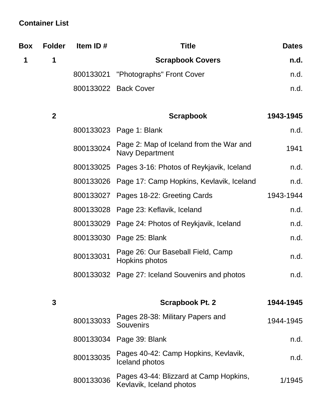# **Container List**

| <b>Box</b> | <b>Folder</b> | Item ID#  | <b>Title</b>                                                       | <b>Dates</b> |
|------------|---------------|-----------|--------------------------------------------------------------------|--------------|
| 1          | 1             |           | <b>Scrapbook Covers</b>                                            | n.d.         |
|            |               | 800133021 | "Photographs" Front Cover                                          | n.d.         |
|            |               |           | 800133022 Back Cover                                               | n.d.         |
|            | $\mathbf{2}$  |           | <b>Scrapbook</b>                                                   | 1943-1945    |
|            |               | 800133023 | Page 1: Blank                                                      | n.d.         |
|            |               | 800133024 | Page 2: Map of Iceland from the War and<br><b>Navy Department</b>  | 1941         |
|            |               | 800133025 | Pages 3-16: Photos of Reykjavik, Iceland                           | n.d.         |
|            |               | 800133026 | Page 17: Camp Hopkins, Kevlavik, Iceland                           | n.d.         |
|            |               | 800133027 | Pages 18-22: Greeting Cards                                        | 1943-1944    |
|            |               | 800133028 | Page 23: Keflavik, Iceland                                         | n.d.         |
|            |               | 800133029 | Page 24: Photos of Reykjavik, Iceland                              | n.d.         |
|            |               | 800133030 | Page 25: Blank                                                     | n.d.         |
|            |               | 800133031 | Page 26: Our Baseball Field, Camp<br>Hopkins photos                | n.d.         |
|            |               | 800133032 | Page 27: Iceland Souvenirs and photos                              | n.d.         |
|            | 3             |           | Scrapbook Pt. 2                                                    | 1944-1945    |
|            |               | 800133033 | Pages 28-38: Military Papers and<br><b>Souvenirs</b>               | 1944-1945    |
|            |               | 800133034 | Page 39: Blank                                                     | n.d.         |
|            |               | 800133035 | Pages 40-42: Camp Hopkins, Kevlavik,<br>Iceland photos             | n.d.         |
|            |               | 800133036 | Pages 43-44: Blizzard at Camp Hopkins,<br>Kevlavik, Iceland photos | 1/1945       |
|            |               |           |                                                                    |              |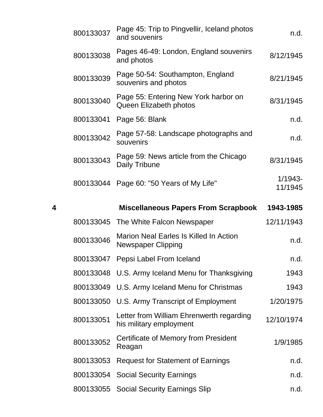|   | 800133037 | Page 45: Trip to Pingvellir, Iceland photos<br>and souvenirs               | n.d.                  |
|---|-----------|----------------------------------------------------------------------------|-----------------------|
|   | 800133038 | Pages 46-49: London, England souvenirs<br>and photos                       | 8/12/1945             |
|   | 800133039 | Page 50-54: Southampton, England<br>souvenirs and photos                   | 8/21/1945             |
|   | 800133040 | Page 55: Entering New York harbor on<br>Queen Elizabeth photos             | 8/31/1945             |
|   | 800133041 | Page 56: Blank                                                             | n.d.                  |
|   | 800133042 | Page 57-58: Landscape photographs and<br>souvenirs                         | n.d.                  |
|   | 800133043 | Page 59: News article from the Chicago<br>Daily Tribune                    | 8/31/1945             |
|   | 800133044 | Page 60: "50 Years of My Life"                                             | $1/1943 -$<br>11/1945 |
| 4 |           | <b>Miscellaneous Papers From Scrapbook</b>                                 | 1943-1985             |
|   |           |                                                                            |                       |
|   |           | 800133045 The White Falcon Newspaper                                       | 12/11/1943            |
|   | 800133046 | <b>Marion Neal Earles Is Killed In Action</b><br><b>Newspaper Clipping</b> | n.d.                  |
|   | 800133047 | Pepsi Label From Iceland                                                   | n.d.                  |
|   |           | 800133048 U.S. Army Iceland Menu for Thanksgiving                          | 1943                  |
|   | 800133049 | U.S. Army Iceland Menu for Christmas                                       | 1943                  |
|   | 800133050 | U.S. Army Transcript of Employment                                         | 1/20/1975             |
|   | 800133051 | Letter from William Ehrenwerth regarding<br>his military employment        | 12/10/1974            |
|   | 800133052 | Certificate of Memory from President<br>Reagan                             | 1/9/1985              |
|   | 800133053 | <b>Request for Statement of Earnings</b>                                   | n.d.                  |
|   | 800133054 | <b>Social Security Earnings</b>                                            | n.d.                  |